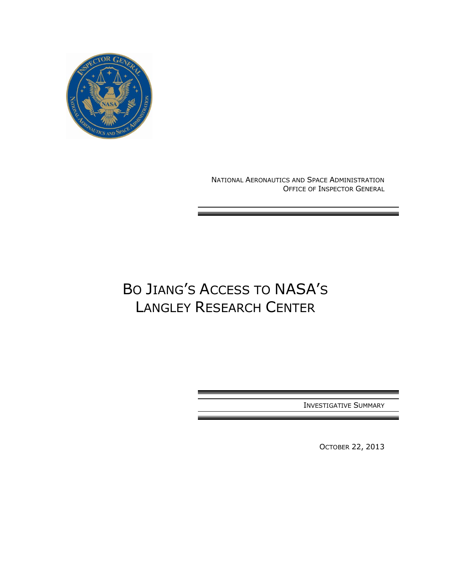

NATIONAL AERONAUTICS AND SPACE ADMINISTRATION OFFICE OF INSPECTOR GENERAL

# BO JIANG'S ACCESS TO NASA'S LANGLEY RESEARCH CENTER

INVESTIGATIVE SUMMARY

OCTOBER 22, 2013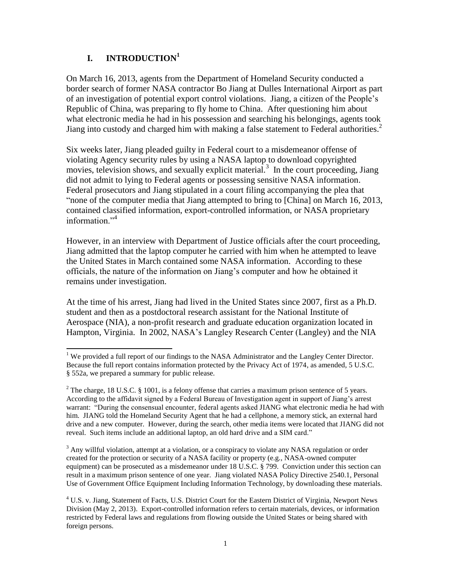## **I. INTRODUCTION<sup>1</sup>**

On March 16, 2013, agents from the Department of Homeland Security conducted a border search of former NASA contractor Bo Jiang at Dulles International Airport as part of an investigation of potential export control violations. Jiang, a citizen of the People"s Republic of China, was preparing to fly home to China. After questioning him about what electronic media he had in his possession and searching his belongings, agents took Jiang into custody and charged him with making a false statement to Federal authorities. 2

Six weeks later, Jiang pleaded guilty in Federal court to a misdemeanor offense of violating Agency security rules by using a NASA laptop to download copyrighted movies, television shows, and sexually explicit material.<sup>3</sup> In the court proceeding, Jiang did not admit to lying to Federal agents or possessing sensitive NASA information. Federal prosecutors and Jiang stipulated in a court filing accompanying the plea that "none of the computer media that Jiang attempted to bring to [China] on March 16, 2013, contained classified information, export-controlled information, or NASA proprietary information $^{3,4}$ 

However, in an interview with Department of Justice officials after the court proceeding, Jiang admitted that the laptop computer he carried with him when he attempted to leave the United States in March contained some NASA information. According to these officials, the nature of the information on Jiang"s computer and how he obtained it remains under investigation.

At the time of his arrest, Jiang had lived in the United States since 2007, first as a Ph.D. student and then as a postdoctoral research assistant for the National Institute of Aerospace (NIA), a non-profit research and graduate education organization located in Hampton, Virginia. In 2002, NASA"s Langley Research Center (Langley) and the NIA

 $3$  Any willful violation, attempt at a violation, or a conspiracy to violate any NASA regulation or order created for the protection or security of a NASA facility or property (e.g., NASA-owned computer equipment) can be prosecuted as a misdemeanor under 18 U.S.C. § 799. Conviction under this section can result in a maximum prison sentence of one year. Jiang violated NASA Policy Directive 2540.1, Personal Use of Government Office Equipment Including Information Technology, by downloading these materials.

 $\overline{a}$ <sup>1</sup> We provided a full report of our findings to the NASA Administrator and the Langley Center Director. Because the full report contains information protected by the Privacy Act of 1974, as amended, 5 U.S.C. § 552a, we prepared a summary for public release.

<sup>&</sup>lt;sup>2</sup> The charge, 18 U.S.C. § 1001, is a felony offense that carries a maximum prison sentence of 5 years. According to the affidavit signed by a Federal Bureau of Investigation agent in support of Jiang"s arrest warrant: "During the consensual encounter, federal agents asked JIANG what electronic media he had with him. JIANG told the Homeland Security Agent that he had a cellphone, a memory stick, an external hard drive and a new computer. However, during the search, other media items were located that JIANG did not reveal. Such items include an additional laptop, an old hard drive and a SIM card."

<sup>&</sup>lt;sup>4</sup> U.S. v. Jiang, Statement of Facts, U.S. District Court for the Eastern District of Virginia, Newport News Division (May 2, 2013). Export-controlled information refers to certain materials, devices, or information restricted by Federal laws and regulations from flowing outside the United States or being shared with foreign persons.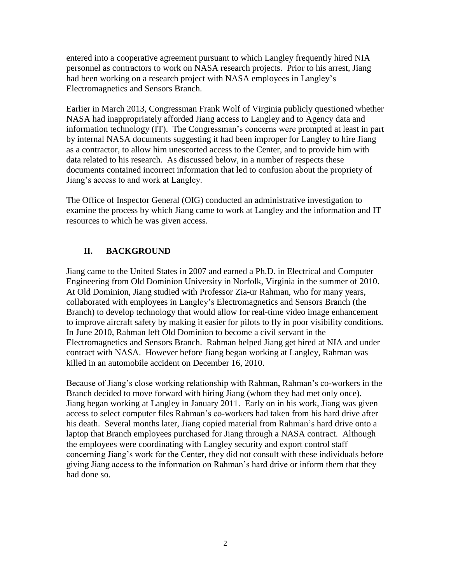entered into a cooperative agreement pursuant to which Langley frequently hired NIA personnel as contractors to work on NASA research projects. Prior to his arrest, Jiang had been working on a research project with NASA employees in Langley"s Electromagnetics and Sensors Branch.

Earlier in March 2013, Congressman Frank Wolf of Virginia publicly questioned whether NASA had inappropriately afforded Jiang access to Langley and to Agency data and information technology (IT). The Congressman's concerns were prompted at least in part by internal NASA documents suggesting it had been improper for Langley to hire Jiang as a contractor, to allow him unescorted access to the Center, and to provide him with data related to his research. As discussed below, in a number of respects these documents contained incorrect information that led to confusion about the propriety of Jiang"s access to and work at Langley.

The Office of Inspector General (OIG) conducted an administrative investigation to examine the process by which Jiang came to work at Langley and the information and IT resources to which he was given access.

# **II. BACKGROUND**

Jiang came to the United States in 2007 and earned a Ph.D. in Electrical and Computer Engineering from Old Dominion University in Norfolk, Virginia in the summer of 2010. At Old Dominion, Jiang studied with Professor Zia-ur Rahman, who for many years, collaborated with employees in Langley"s Electromagnetics and Sensors Branch (the Branch) to develop technology that would allow for real-time video image enhancement to improve aircraft safety by making it easier for pilots to fly in poor visibility conditions. In June 2010, Rahman left Old Dominion to become a civil servant in the Electromagnetics and Sensors Branch. Rahman helped Jiang get hired at NIA and under contract with NASA. However before Jiang began working at Langley, Rahman was killed in an automobile accident on December 16, 2010.

Because of Jiang's close working relationship with Rahman, Rahman's co-workers in the Branch decided to move forward with hiring Jiang (whom they had met only once). Jiang began working at Langley in January 2011. Early on in his work, Jiang was given access to select computer files Rahman"s co-workers had taken from his hard drive after his death. Several months later, Jiang copied material from Rahman"s hard drive onto a laptop that Branch employees purchased for Jiang through a NASA contract. Although the employees were coordinating with Langley security and export control staff concerning Jiang"s work for the Center, they did not consult with these individuals before giving Jiang access to the information on Rahman"s hard drive or inform them that they had done so.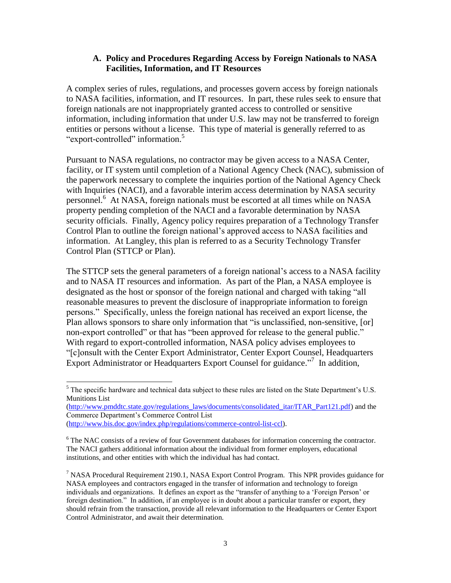#### **A. Policy and Procedures Regarding Access by Foreign Nationals to NASA Facilities, Information, and IT Resources**

A complex series of rules, regulations, and processes govern access by foreign nationals to NASA facilities, information, and IT resources. In part, these rules seek to ensure that foreign nationals are not inappropriately granted access to controlled or sensitive information, including information that under U.S. law may not be transferred to foreign entities or persons without a license. This type of material is generally referred to as "export-controlled" information.<sup>5</sup>

Pursuant to NASA regulations, no contractor may be given access to a NASA Center, facility, or IT system until completion of a National Agency Check (NAC), submission of the paperwork necessary to complete the inquiries portion of the National Agency Check with Inquiries (NACI), and a favorable interim access determination by NASA security personnel.<sup>6</sup> At NASA, foreign nationals must be escorted at all times while on NASA property pending completion of the NACI and a favorable determination by NASA security officials. Finally, Agency policy requires preparation of a Technology Transfer Control Plan to outline the foreign national"s approved access to NASA facilities and information. At Langley, this plan is referred to as a Security Technology Transfer Control Plan (STTCP or Plan).

The STTCP sets the general parameters of a foreign national's access to a NASA facility and to NASA IT resources and information. As part of the Plan, a NASA employee is designated as the host or sponsor of the foreign national and charged with taking "all reasonable measures to prevent the disclosure of inappropriate information to foreign persons." Specifically, unless the foreign national has received an export license, the Plan allows sponsors to share only information that "is unclassified, non-sensitive, [or] non-export controlled" or that has "been approved for release to the general public." With regard to export-controlled information, NASA policy advises employees to "[c]onsult with the Center Export Administrator, Center Export Counsel, Headquarters Export Administrator or Headquarters Export Counsel for guidance."<sup>7</sup> In addition,

[\(http://www.pmddtc.state.gov/regulations\\_laws/documents/consolidated\\_itar/ITAR\\_Part121.pdf\)](http://www.pmddtc.state.gov/regulations_laws/documents/consolidated_itar/ITAR_Part121.pdf) and the Commerce Department"s Commerce Control List [\(http://www.bis.doc.gov/index.php/regulations/commerce-control-list-ccl\)](http://www.bis.doc.gov/index.php/regulations/commerce-control-list-ccl).

 $\overline{a}$  $<sup>5</sup>$  The specific hardware and technical data subject to these rules are listed on the State Department's U.S.</sup> Munitions List

<sup>&</sup>lt;sup>6</sup> The NAC consists of a review of four Government databases for information concerning the contractor. The NACI gathers additional information about the individual from former employers, educational institutions, and other entities with which the individual has had contact.

<sup>&</sup>lt;sup>7</sup> NASA Procedural Requirement 2190.1, NASA Export Control Program. This NPR provides guidance for NASA employees and contractors engaged in the transfer of information and technology to foreign individuals and organizations. It defines an export as the "transfer of anything to a "Foreign Person" or foreign destination." In addition, if an employee is in doubt about a particular transfer or export, they should refrain from the transaction, provide all relevant information to the Headquarters or Center Export Control Administrator, and await their determination.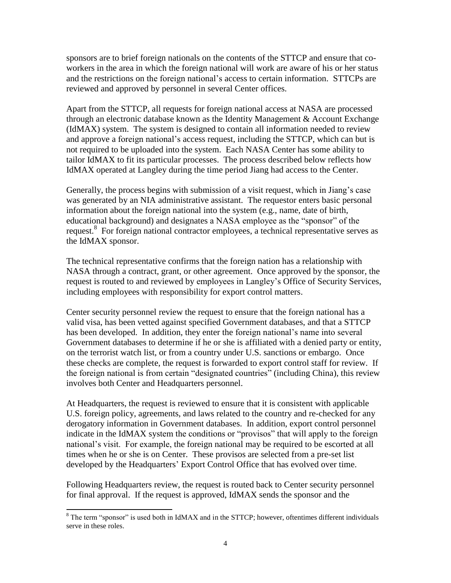sponsors are to brief foreign nationals on the contents of the STTCP and ensure that coworkers in the area in which the foreign national will work are aware of his or her status and the restrictions on the foreign national"s access to certain information. STTCPs are reviewed and approved by personnel in several Center offices.

Apart from the STTCP, all requests for foreign national access at NASA are processed through an electronic database known as the Identity Management & Account Exchange (IdMAX) system. The system is designed to contain all information needed to review and approve a foreign national's access request, including the STTCP, which can but is not required to be uploaded into the system. Each NASA Center has some ability to tailor IdMAX to fit its particular processes. The process described below reflects how IdMAX operated at Langley during the time period Jiang had access to the Center.

Generally, the process begins with submission of a visit request, which in Jiang"s case was generated by an NIA administrative assistant. The requestor enters basic personal information about the foreign national into the system (e.g., name, date of birth, educational background) and designates a NASA employee as the "sponsor" of the request.<sup>8</sup> For foreign national contractor employees, a technical representative serves as the IdMAX sponsor.

The technical representative confirms that the foreign nation has a relationship with NASA through a contract, grant, or other agreement. Once approved by the sponsor, the request is routed to and reviewed by employees in Langley"s Office of Security Services, including employees with responsibility for export control matters.

Center security personnel review the request to ensure that the foreign national has a valid visa, has been vetted against specified Government databases, and that a STTCP has been developed. In addition, they enter the foreign national"s name into several Government databases to determine if he or she is affiliated with a denied party or entity, on the terrorist watch list, or from a country under U.S. sanctions or embargo. Once these checks are complete, the request is forwarded to export control staff for review. If the foreign national is from certain "designated countries" (including China), this review involves both Center and Headquarters personnel.

At Headquarters, the request is reviewed to ensure that it is consistent with applicable U.S. foreign policy, agreements, and laws related to the country and re-checked for any derogatory information in Government databases. In addition, export control personnel indicate in the IdMAX system the conditions or "provisos" that will apply to the foreign national"s visit. For example, the foreign national may be required to be escorted at all times when he or she is on Center. These provisos are selected from a pre-set list developed by the Headquarters' Export Control Office that has evolved over time.

Following Headquarters review, the request is routed back to Center security personnel for final approval. If the request is approved, IdMAX sends the sponsor and the

 $\overline{a}$  $8$  The term "sponsor" is used both in IdMAX and in the STTCP; however, oftentimes different individuals serve in these roles.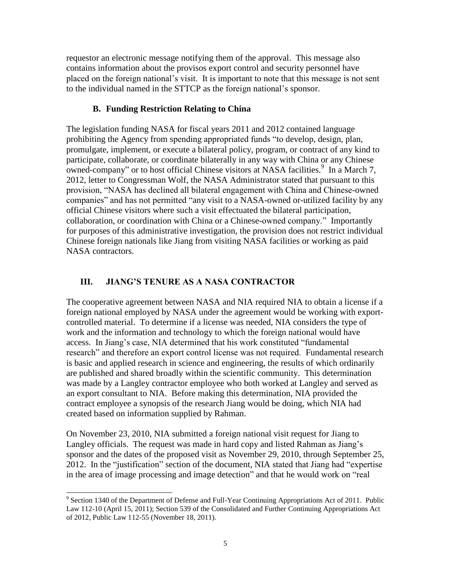requestor an electronic message notifying them of the approval. This message also contains information about the provisos export control and security personnel have placed on the foreign national"s visit. It is important to note that this message is not sent to the individual named in the STTCP as the foreign national"s sponsor.

## **B. Funding Restriction Relating to China**

The legislation funding NASA for fiscal years 2011 and 2012 contained language prohibiting the Agency from spending appropriated funds "to develop, design, plan, promulgate, implement, or execute a bilateral policy, program, or contract of any kind to participate, collaborate, or coordinate bilaterally in any way with China or any Chinese  $\alpha$  owned-company" or to host official Chinese visitors at NASA facilities.<sup>9</sup> In a March 7, 2012, letter to Congressman Wolf, the NASA Administrator stated that pursuant to this provision, "NASA has declined all bilateral engagement with China and Chinese-owned companies" and has not permitted "any visit to a NASA-owned or-utilized facility by any official Chinese visitors where such a visit effectuated the bilateral participation, collaboration, or coordination with China or a Chinese-owned company." Importantly for purposes of this administrative investigation, the provision does not restrict individual Chinese foreign nationals like Jiang from visiting NASA facilities or working as paid NASA contractors.

# **III. JIANG'S TENURE AS A NASA CONTRACTOR**

The cooperative agreement between NASA and NIA required NIA to obtain a license if a foreign national employed by NASA under the agreement would be working with exportcontrolled material. To determine if a license was needed, NIA considers the type of work and the information and technology to which the foreign national would have access. In Jiang"s case, NIA determined that his work constituted "fundamental research" and therefore an export control license was not required. Fundamental research is basic and applied research in science and engineering, the results of which ordinarily are published and shared broadly within the scientific community. This determination was made by a Langley contractor employee who both worked at Langley and served as an export consultant to NIA. Before making this determination, NIA provided the contract employee a synopsis of the research Jiang would be doing, which NIA had created based on information supplied by Rahman.

On November 23, 2010, NIA submitted a foreign national visit request for Jiang to Langley officials. The request was made in hard copy and listed Rahman as Jiang"s sponsor and the dates of the proposed visit as November 29, 2010, through September 25, 2012. In the "justification" section of the document, NIA stated that Jiang had "expertise in the area of image processing and image detection" and that he would work on "real

 9 Section 1340 of the Department of Defense and Full-Year Continuing Appropriations Act of 2011. Public Law 112-10 (April 15, 2011); Section 539 of the Consolidated and Further Continuing Appropriations Act of 2012, Public Law 112-55 (November 18, 2011).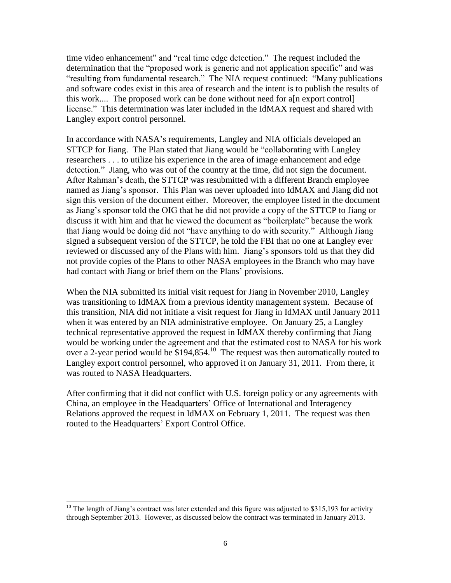time video enhancement" and "real time edge detection." The request included the determination that the "proposed work is generic and not application specific" and was "resulting from fundamental research." The NIA request continued: "Many publications and software codes exist in this area of research and the intent is to publish the results of this work.... The proposed work can be done without need for a[n export control] license." This determination was later included in the IdMAX request and shared with Langley export control personnel.

In accordance with NASA"s requirements, Langley and NIA officials developed an STTCP for Jiang. The Plan stated that Jiang would be "collaborating with Langley researchers . . . to utilize his experience in the area of image enhancement and edge detection." Jiang, who was out of the country at the time, did not sign the document. After Rahman"s death, the STTCP was resubmitted with a different Branch employee named as Jiang"s sponsor. This Plan was never uploaded into IdMAX and Jiang did not sign this version of the document either. Moreover, the employee listed in the document as Jiang"s sponsor told the OIG that he did not provide a copy of the STTCP to Jiang or discuss it with him and that he viewed the document as "boilerplate" because the work that Jiang would be doing did not "have anything to do with security." Although Jiang signed a subsequent version of the STTCP, he told the FBI that no one at Langley ever reviewed or discussed any of the Plans with him. Jiang"s sponsors told us that they did not provide copies of the Plans to other NASA employees in the Branch who may have had contact with Jiang or brief them on the Plans' provisions.

When the NIA submitted its initial visit request for Jiang in November 2010, Langley was transitioning to IdMAX from a previous identity management system. Because of this transition, NIA did not initiate a visit request for Jiang in IdMAX until January 2011 when it was entered by an NIA administrative employee. On January 25, a Langley technical representative approved the request in IdMAX thereby confirming that Jiang would be working under the agreement and that the estimated cost to NASA for his work over a 2-year period would be  $$194,854$ .<sup>10</sup> The request was then automatically routed to Langley export control personnel, who approved it on January 31, 2011. From there, it was routed to NASA Headquarters.

After confirming that it did not conflict with U.S. foreign policy or any agreements with China, an employee in the Headquarters" Office of International and Interagency Relations approved the request in IdMAX on February 1, 2011. The request was then routed to the Headquarters' Export Control Office.

 $\overline{a}$ 

 $10$  The length of Jiang's contract was later extended and this figure was adjusted to \$315,193 for activity through September 2013. However, as discussed below the contract was terminated in January 2013.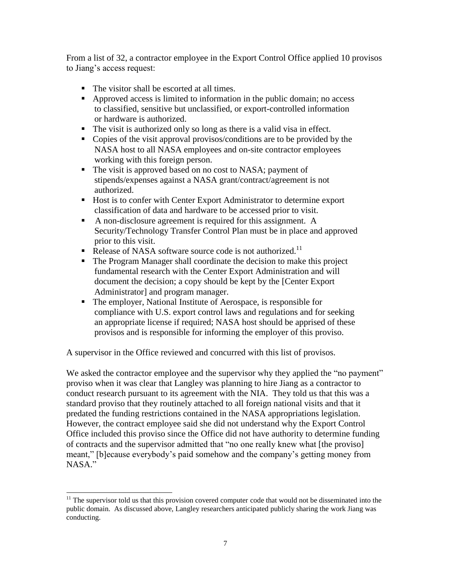From a list of 32, a contractor employee in the Export Control Office applied 10 provisos to Jiang"s access request:

- The visitor shall be escorted at all times.
- Approved access is limited to information in the public domain; no access to classified, sensitive but unclassified, or export-controlled information or hardware is authorized.
- The visit is authorized only so long as there is a valid visa in effect.
- Copies of the visit approval provisos/conditions are to be provided by the NASA host to all NASA employees and on-site contractor employees working with this foreign person.
- The visit is approved based on no cost to NASA; payment of stipends/expenses against a NASA grant/contract/agreement is not authorized.
- Host is to confer with Center Export Administrator to determine export classification of data and hardware to be accessed prior to visit.
- A non-disclosure agreement is required for this assignment. A Security/Technology Transfer Control Plan must be in place and approved prior to this visit.
- Release of NASA software source code is not authorized.<sup>11</sup>
- The Program Manager shall coordinate the decision to make this project fundamental research with the Center Export Administration and will document the decision; a copy should be kept by the [Center Export Administrator] and program manager.
- The employer, National Institute of Aerospace, is responsible for compliance with U.S. export control laws and regulations and for seeking an appropriate license if required; NASA host should be apprised of these provisos and is responsible for informing the employer of this proviso.

A supervisor in the Office reviewed and concurred with this list of provisos.

We asked the contractor employee and the supervisor why they applied the "no payment" proviso when it was clear that Langley was planning to hire Jiang as a contractor to conduct research pursuant to its agreement with the NIA. They told us that this was a standard proviso that they routinely attached to all foreign national visits and that it predated the funding restrictions contained in the NASA appropriations legislation. However, the contract employee said she did not understand why the Export Control Office included this proviso since the Office did not have authority to determine funding of contracts and the supervisor admitted that "no one really knew what [the proviso] meant," [b]ecause everybody"s paid somehow and the company"s getting money from NASA."

 $\overline{a}$ 

 $11$  The supervisor told us that this provision covered computer code that would not be disseminated into the public domain. As discussed above, Langley researchers anticipated publicly sharing the work Jiang was conducting.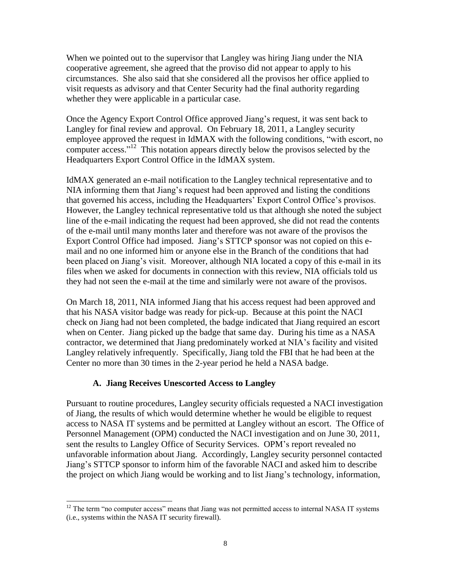When we pointed out to the supervisor that Langley was hiring Jiang under the NIA cooperative agreement, she agreed that the proviso did not appear to apply to his circumstances. She also said that she considered all the provisos her office applied to visit requests as advisory and that Center Security had the final authority regarding whether they were applicable in a particular case.

Once the Agency Export Control Office approved Jiang"s request, it was sent back to Langley for final review and approval. On February 18, 2011, a Langley security employee approved the request in IdMAX with the following conditions, "with escort, no computer access."<sup>12</sup> This notation appears directly below the provisos selected by the Headquarters Export Control Office in the IdMAX system.

IdMAX generated an e-mail notification to the Langley technical representative and to NIA informing them that Jiang"s request had been approved and listing the conditions that governed his access, including the Headquarters" Export Control Office"s provisos. However, the Langley technical representative told us that although she noted the subject line of the e-mail indicating the request had been approved, she did not read the contents of the e-mail until many months later and therefore was not aware of the provisos the Export Control Office had imposed. Jiang's STTCP sponsor was not copied on this email and no one informed him or anyone else in the Branch of the conditions that had been placed on Jiang"s visit. Moreover, although NIA located a copy of this e-mail in its files when we asked for documents in connection with this review, NIA officials told us they had not seen the e-mail at the time and similarly were not aware of the provisos.

On March 18, 2011, NIA informed Jiang that his access request had been approved and that his NASA visitor badge was ready for pick-up. Because at this point the NACI check on Jiang had not been completed, the badge indicated that Jiang required an escort when on Center. Jiang picked up the badge that same day. During his time as a NASA contractor, we determined that Jiang predominately worked at NIA"s facility and visited Langley relatively infrequently. Specifically, Jiang told the FBI that he had been at the Center no more than 30 times in the 2-year period he held a NASA badge.

#### **A. Jiang Receives Unescorted Access to Langley**

Pursuant to routine procedures, Langley security officials requested a NACI investigation of Jiang, the results of which would determine whether he would be eligible to request access to NASA IT systems and be permitted at Langley without an escort. The Office of Personnel Management (OPM) conducted the NACI investigation and on June 30, 2011, sent the results to Langley Office of Security Services. OPM"s report revealed no unfavorable information about Jiang. Accordingly, Langley security personnel contacted Jiang"s STTCP sponsor to inform him of the favorable NACI and asked him to describe the project on which Jiang would be working and to list Jiang"s technology, information,

 $\overline{a}$  $12$  The term "no computer access" means that Jiang was not permitted access to internal NASA IT systems (i.e., systems within the NASA IT security firewall).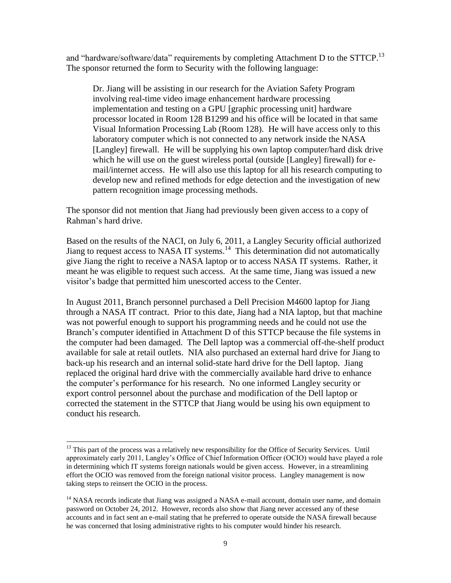and "hardware/software/data" requirements by completing Attachment D to the STTCP.<sup>13</sup> The sponsor returned the form to Security with the following language:

Dr. Jiang will be assisting in our research for the Aviation Safety Program involving real-time video image enhancement hardware processing implementation and testing on a GPU [graphic processing unit] hardware processor located in Room 128 B1299 and his office will be located in that same Visual Information Processing Lab (Room 128). He will have access only to this laboratory computer which is not connected to any network inside the NASA [Langley] firewall. He will be supplying his own laptop computer/hard disk drive which he will use on the guest wireless portal (outside [Langley] firewall) for email/internet access. He will also use this laptop for all his research computing to develop new and refined methods for edge detection and the investigation of new pattern recognition image processing methods.

The sponsor did not mention that Jiang had previously been given access to a copy of Rahman"s hard drive.

Based on the results of the NACI, on July 6, 2011, a Langley Security official authorized Jiang to request access to NASA IT systems.<sup>14</sup> This determination did not automatically give Jiang the right to receive a NASA laptop or to access NASA IT systems. Rather, it meant he was eligible to request such access. At the same time, Jiang was issued a new visitor"s badge that permitted him unescorted access to the Center.

In August 2011, Branch personnel purchased a Dell Precision M4600 laptop for Jiang through a NASA IT contract. Prior to this date, Jiang had a NIA laptop, but that machine was not powerful enough to support his programming needs and he could not use the Branch's computer identified in Attachment D of this STTCP because the file systems in the computer had been damaged. The Dell laptop was a commercial off-the-shelf product available for sale at retail outlets. NIA also purchased an external hard drive for Jiang to back-up his research and an internal solid-state hard drive for the Dell laptop. Jiang replaced the original hard drive with the commercially available hard drive to enhance the computer"s performance for his research. No one informed Langley security or export control personnel about the purchase and modification of the Dell laptop or corrected the statement in the STTCP that Jiang would be using his own equipment to conduct his research.

 $\overline{a}$  $13$  This part of the process was a relatively new responsibility for the Office of Security Services. Until approximately early 2011, Langley"s Office of Chief Information Officer (OCIO) would have played a role in determining which IT systems foreign nationals would be given access. However, in a streamlining effort the OCIO was removed from the foreign national visitor process. Langley management is now taking steps to reinsert the OCIO in the process.

 $<sup>14</sup>$  NASA records indicate that Jiang was assigned a NASA e-mail account, domain user name, and domain</sup> password on October 24, 2012. However, records also show that Jiang never accessed any of these accounts and in fact sent an e-mail stating that he preferred to operate outside the NASA firewall because he was concerned that losing administrative rights to his computer would hinder his research.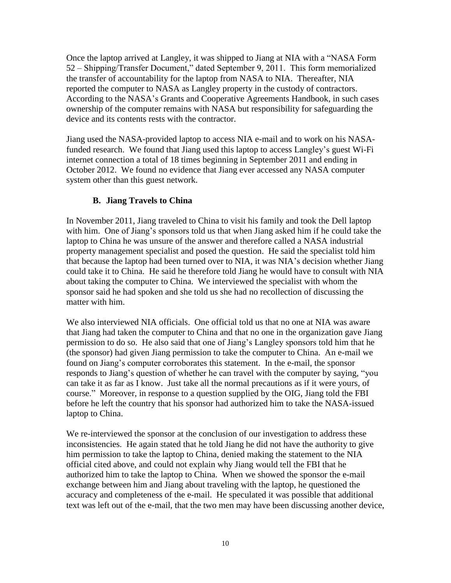Once the laptop arrived at Langley, it was shipped to Jiang at NIA with a "NASA Form 52 – Shipping/Transfer Document," dated September 9, 2011. This form memorialized the transfer of accountability for the laptop from NASA to NIA. Thereafter, NIA reported the computer to NASA as Langley property in the custody of contractors. According to the NASA"s Grants and Cooperative Agreements Handbook, in such cases ownership of the computer remains with NASA but responsibility for safeguarding the device and its contents rests with the contractor.

Jiang used the NASA-provided laptop to access NIA e-mail and to work on his NASAfunded research. We found that Jiang used this laptop to access Langley"s guest Wi-Fi internet connection a total of 18 times beginning in September 2011 and ending in October 2012. We found no evidence that Jiang ever accessed any NASA computer system other than this guest network.

## **B. Jiang Travels to China**

In November 2011, Jiang traveled to China to visit his family and took the Dell laptop with him. One of Jiang's sponsors told us that when Jiang asked him if he could take the laptop to China he was unsure of the answer and therefore called a NASA industrial property management specialist and posed the question. He said the specialist told him that because the laptop had been turned over to NIA, it was NIA"s decision whether Jiang could take it to China. He said he therefore told Jiang he would have to consult with NIA about taking the computer to China. We interviewed the specialist with whom the sponsor said he had spoken and she told us she had no recollection of discussing the matter with him.

We also interviewed NIA officials. One official told us that no one at NIA was aware that Jiang had taken the computer to China and that no one in the organization gave Jiang permission to do so. He also said that one of Jiang"s Langley sponsors told him that he (the sponsor) had given Jiang permission to take the computer to China. An e-mail we found on Jiang"s computer corroborates this statement. In the e-mail, the sponsor responds to Jiang's question of whether he can travel with the computer by saying, "you can take it as far as I know. Just take all the normal precautions as if it were yours, of course." Moreover, in response to a question supplied by the OIG, Jiang told the FBI before he left the country that his sponsor had authorized him to take the NASA-issued laptop to China.

We re-interviewed the sponsor at the conclusion of our investigation to address these inconsistencies. He again stated that he told Jiang he did not have the authority to give him permission to take the laptop to China, denied making the statement to the NIA official cited above, and could not explain why Jiang would tell the FBI that he authorized him to take the laptop to China. When we showed the sponsor the e-mail exchange between him and Jiang about traveling with the laptop, he questioned the accuracy and completeness of the e-mail. He speculated it was possible that additional text was left out of the e-mail, that the two men may have been discussing another device,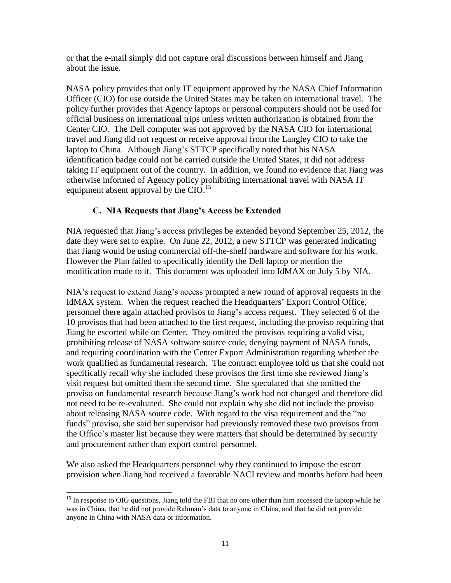or that the e-mail simply did not capture oral discussions between himself and Jiang about the issue.

NASA policy provides that only IT equipment approved by the NASA Chief Information Officer (CIO) for use outside the United States may be taken on international travel. The policy further provides that Agency laptops or personal computers should not be used for official business on international trips unless written authorization is obtained from the Center CIO. The Dell computer was not approved by the NASA CIO for international travel and Jiang did not request or receive approval from the Langley CIO to take the laptop to China. Although Jiang's STTCP specifically noted that his NASA identification badge could not be carried outside the United States, it did not address taking IT equipment out of the country. In addition, we found no evidence that Jiang was otherwise informed of Agency policy prohibiting international travel with NASA IT equipment absent approval by the CIO.<sup>15</sup>

## **C. NIA Requests that Jiang's Access be Extended**

NIA requested that Jiang"s access privileges be extended beyond September 25, 2012, the date they were set to expire. On June 22, 2012, a new STTCP was generated indicating that Jiang would be using commercial off-the-shelf hardware and software for his work. However the Plan failed to specifically identify the Dell laptop or mention the modification made to it. This document was uploaded into IdMAX on July 5 by NIA.

NIA"s request to extend Jiang"s access prompted a new round of approval requests in the IdMAX system. When the request reached the Headquarters" Export Control Office, personnel there again attached provisos to Jiang"s access request. They selected 6 of the 10 provisos that had been attached to the first request, including the proviso requiring that Jiang be escorted while on Center. They omitted the provisos requiring a valid visa, prohibiting release of NASA software source code, denying payment of NASA funds, and requiring coordination with the Center Export Administration regarding whether the work qualified as fundamental research. The contract employee told us that she could not specifically recall why she included these provisos the first time she reviewed Jiang"s visit request but omitted them the second time. She speculated that she omitted the proviso on fundamental research because Jiang"s work had not changed and therefore did not need to be re-evaluated. She could not explain why she did not include the proviso about releasing NASA source code. With regard to the visa requirement and the "no funds" proviso, she said her supervisor had previously removed these two provisos from the Office"s master list because they were matters that should be determined by security and procurement rather than export control personnel.

We also asked the Headquarters personnel why they continued to impose the escort provision when Jiang had received a favorable NACI review and months before had been

 $\overline{a}$ <sup>15</sup> In response to OIG questions, Jiang told the FBI that no one other than him accessed the laptop while he was in China, that he did not provide Rahman"s data to anyone in China, and that he did not provide anyone in China with NASA data or information.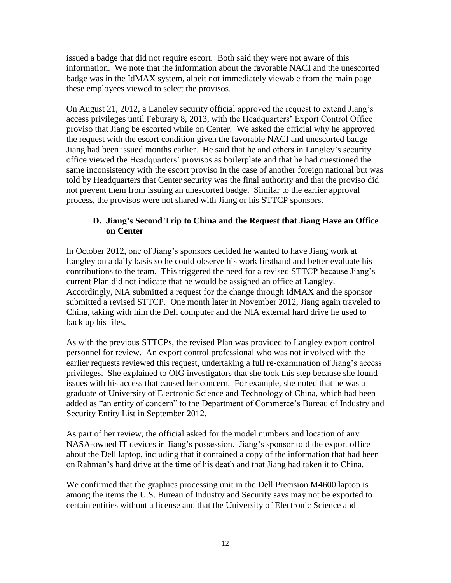issued a badge that did not require escort. Both said they were not aware of this information. We note that the information about the favorable NACI and the unescorted badge was in the IdMAX system, albeit not immediately viewable from the main page these employees viewed to select the provisos.

On August 21, 2012, a Langley security official approved the request to extend Jiang"s access privileges until Feburary 8, 2013, with the Headquarters" Export Control Office proviso that Jiang be escorted while on Center. We asked the official why he approved the request with the escort condition given the favorable NACI and unescorted badge Jiang had been issued months earlier. He said that he and others in Langley"s security office viewed the Headquarters" provisos as boilerplate and that he had questioned the same inconsistency with the escort proviso in the case of another foreign national but was told by Headquarters that Center security was the final authority and that the proviso did not prevent them from issuing an unescorted badge. Similar to the earlier approval process, the provisos were not shared with Jiang or his STTCP sponsors.

## **D. Jiang's Second Trip to China and the Request that Jiang Have an Office on Center**

In October 2012, one of Jiang"s sponsors decided he wanted to have Jiang work at Langley on a daily basis so he could observe his work firsthand and better evaluate his contributions to the team. This triggered the need for a revised STTCP because Jiang"s current Plan did not indicate that he would be assigned an office at Langley. Accordingly, NIA submitted a request for the change through IdMAX and the sponsor submitted a revised STTCP. One month later in November 2012, Jiang again traveled to China, taking with him the Dell computer and the NIA external hard drive he used to back up his files.

As with the previous STTCPs, the revised Plan was provided to Langley export control personnel for review. An export control professional who was not involved with the earlier requests reviewed this request, undertaking a full re-examination of Jiang's access privileges. She explained to OIG investigators that she took this step because she found issues with his access that caused her concern. For example, she noted that he was a graduate of University of Electronic Science and Technology of China, which had been added as "an entity of concern" to the Department of Commerce's Bureau of Industry and Security Entity List in September 2012.

As part of her review, the official asked for the model numbers and location of any NASA-owned IT devices in Jiang"s possession. Jiang"s sponsor told the export office about the Dell laptop, including that it contained a copy of the information that had been on Rahman"s hard drive at the time of his death and that Jiang had taken it to China.

We confirmed that the graphics processing unit in the Dell Precision M4600 laptop is among the items the U.S. Bureau of Industry and Security says may not be exported to certain entities without a license and that the University of Electronic Science and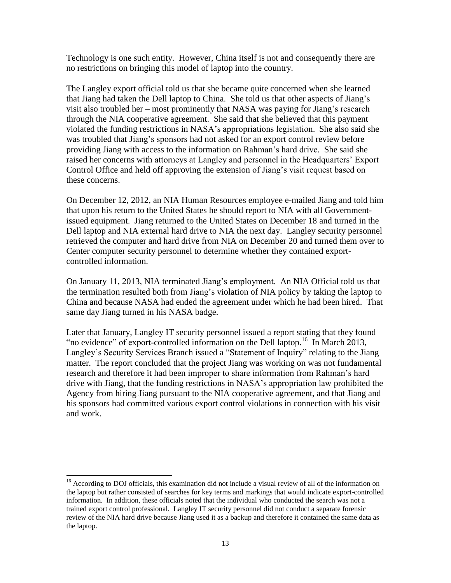Technology is one such entity. However, China itself is not and consequently there are no restrictions on bringing this model of laptop into the country.

The Langley export official told us that she became quite concerned when she learned that Jiang had taken the Dell laptop to China. She told us that other aspects of Jiang"s visit also troubled her – most prominently that NASA was paying for Jiang"s research through the NIA cooperative agreement. She said that she believed that this payment violated the funding restrictions in NASA"s appropriations legislation. She also said she was troubled that Jiang"s sponsors had not asked for an export control review before providing Jiang with access to the information on Rahman"s hard drive. She said she raised her concerns with attorneys at Langley and personnel in the Headquarters" Export Control Office and held off approving the extension of Jiang"s visit request based on these concerns.

On December 12, 2012, an NIA Human Resources employee e-mailed Jiang and told him that upon his return to the United States he should report to NIA with all Governmentissued equipment. Jiang returned to the United States on December 18 and turned in the Dell laptop and NIA external hard drive to NIA the next day. Langley security personnel retrieved the computer and hard drive from NIA on December 20 and turned them over to Center computer security personnel to determine whether they contained exportcontrolled information.

On January 11, 2013, NIA terminated Jiang"s employment. An NIA Official told us that the termination resulted both from Jiang"s violation of NIA policy by taking the laptop to China and because NASA had ended the agreement under which he had been hired. That same day Jiang turned in his NASA badge.

Later that January, Langley IT security personnel issued a report stating that they found "no evidence" of export-controlled information on the Dell laptop.<sup>16</sup> In March 2013, Langley"s Security Services Branch issued a "Statement of Inquiry" relating to the Jiang matter. The report concluded that the project Jiang was working on was not fundamental research and therefore it had been improper to share information from Rahman"s hard drive with Jiang, that the funding restrictions in NASA"s appropriation law prohibited the Agency from hiring Jiang pursuant to the NIA cooperative agreement, and that Jiang and his sponsors had committed various export control violations in connection with his visit and work.

 $\overline{a}$ 

<sup>&</sup>lt;sup>16</sup> According to DOJ officials, this examination did not include a visual review of all of the information on the laptop but rather consisted of searches for key terms and markings that would indicate export-controlled information. In addition, these officials noted that the individual who conducted the search was not a trained export control professional. Langley IT security personnel did not conduct a separate forensic review of the NIA hard drive because Jiang used it as a backup and therefore it contained the same data as the laptop.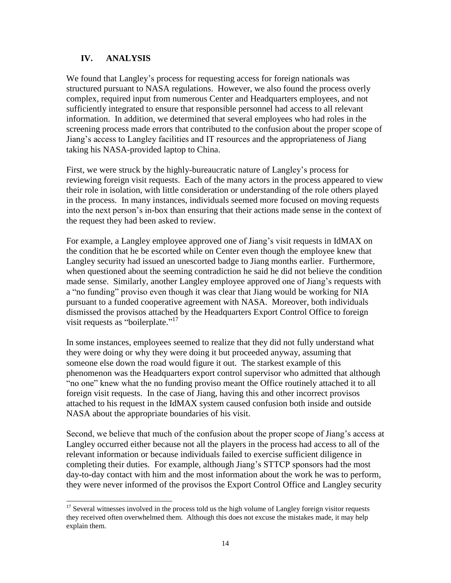## **IV. ANALYSIS**

We found that Langley"s process for requesting access for foreign nationals was structured pursuant to NASA regulations. However, we also found the process overly complex, required input from numerous Center and Headquarters employees, and not sufficiently integrated to ensure that responsible personnel had access to all relevant information. In addition, we determined that several employees who had roles in the screening process made errors that contributed to the confusion about the proper scope of Jiang"s access to Langley facilities and IT resources and the appropriateness of Jiang taking his NASA-provided laptop to China.

First, we were struck by the highly-bureaucratic nature of Langley"s process for reviewing foreign visit requests. Each of the many actors in the process appeared to view their role in isolation, with little consideration or understanding of the role others played in the process. In many instances, individuals seemed more focused on moving requests into the next person's in-box than ensuring that their actions made sense in the context of the request they had been asked to review.

For example, a Langley employee approved one of Jiang"s visit requests in IdMAX on the condition that he be escorted while on Center even though the employee knew that Langley security had issued an unescorted badge to Jiang months earlier. Furthermore, when questioned about the seeming contradiction he said he did not believe the condition made sense. Similarly, another Langley employee approved one of Jiang's requests with a "no funding" proviso even though it was clear that Jiang would be working for NIA pursuant to a funded cooperative agreement with NASA. Moreover, both individuals dismissed the provisos attached by the Headquarters Export Control Office to foreign visit requests as "boilerplate."<sup>17</sup>

In some instances, employees seemed to realize that they did not fully understand what they were doing or why they were doing it but proceeded anyway, assuming that someone else down the road would figure it out. The starkest example of this phenomenon was the Headquarters export control supervisor who admitted that although "no one" knew what the no funding proviso meant the Office routinely attached it to all foreign visit requests. In the case of Jiang, having this and other incorrect provisos attached to his request in the IdMAX system caused confusion both inside and outside NASA about the appropriate boundaries of his visit.

Second, we believe that much of the confusion about the proper scope of Jiang"s access at Langley occurred either because not all the players in the process had access to all of the relevant information or because individuals failed to exercise sufficient diligence in completing their duties. For example, although Jiang"s STTCP sponsors had the most day-to-day contact with him and the most information about the work he was to perform, they were never informed of the provisos the Export Control Office and Langley security

 $\overline{a}$  $17$  Several witnesses involved in the process told us the high volume of Langley foreign visitor requests they received often overwhelmed them. Although this does not excuse the mistakes made, it may help explain them.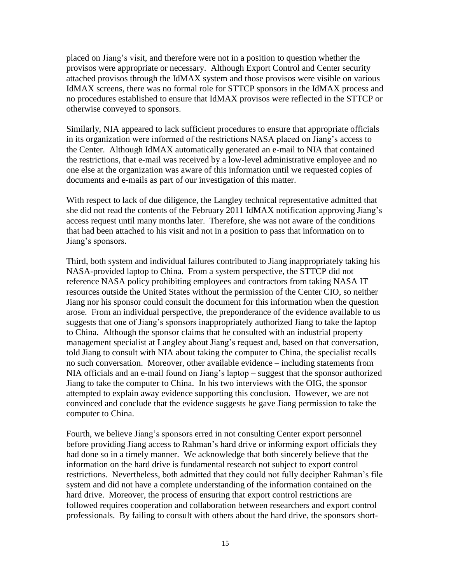placed on Jiang"s visit, and therefore were not in a position to question whether the provisos were appropriate or necessary. Although Export Control and Center security attached provisos through the IdMAX system and those provisos were visible on various IdMAX screens, there was no formal role for STTCP sponsors in the IdMAX process and no procedures established to ensure that IdMAX provisos were reflected in the STTCP or otherwise conveyed to sponsors.

Similarly, NIA appeared to lack sufficient procedures to ensure that appropriate officials in its organization were informed of the restrictions NASA placed on Jiang"s access to the Center. Although IdMAX automatically generated an e-mail to NIA that contained the restrictions, that e-mail was received by a low-level administrative employee and no one else at the organization was aware of this information until we requested copies of documents and e-mails as part of our investigation of this matter.

With respect to lack of due diligence, the Langley technical representative admitted that she did not read the contents of the February 2011 IdMAX notification approving Jiang's access request until many months later. Therefore, she was not aware of the conditions that had been attached to his visit and not in a position to pass that information on to Jiang's sponsors.

Third, both system and individual failures contributed to Jiang inappropriately taking his NASA-provided laptop to China. From a system perspective, the STTCP did not reference NASA policy prohibiting employees and contractors from taking NASA IT resources outside the United States without the permission of the Center CIO, so neither Jiang nor his sponsor could consult the document for this information when the question arose. From an individual perspective, the preponderance of the evidence available to us suggests that one of Jiang"s sponsors inappropriately authorized Jiang to take the laptop to China. Although the sponsor claims that he consulted with an industrial property management specialist at Langley about Jiang"s request and, based on that conversation, told Jiang to consult with NIA about taking the computer to China, the specialist recalls no such conversation. Moreover, other available evidence – including statements from NIA officials and an e-mail found on Jiang"s laptop – suggest that the sponsor authorized Jiang to take the computer to China. In his two interviews with the OIG, the sponsor attempted to explain away evidence supporting this conclusion. However, we are not convinced and conclude that the evidence suggests he gave Jiang permission to take the computer to China.

Fourth, we believe Jiang's sponsors erred in not consulting Center export personnel before providing Jiang access to Rahman"s hard drive or informing export officials they had done so in a timely manner. We acknowledge that both sincerely believe that the information on the hard drive is fundamental research not subject to export control restrictions. Nevertheless, both admitted that they could not fully decipher Rahman's file system and did not have a complete understanding of the information contained on the hard drive. Moreover, the process of ensuring that export control restrictions are followed requires cooperation and collaboration between researchers and export control professionals. By failing to consult with others about the hard drive, the sponsors short-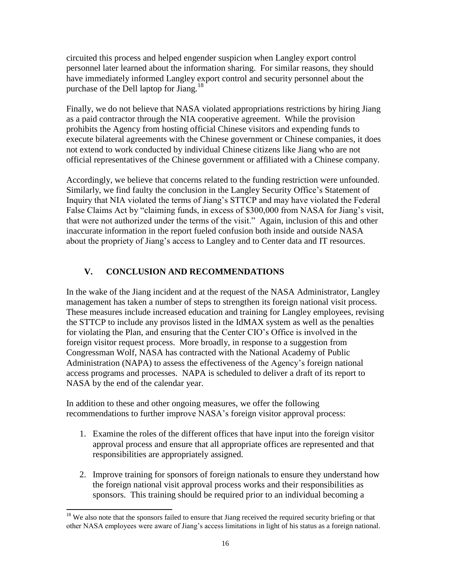circuited this process and helped engender suspicion when Langley export control personnel later learned about the information sharing. For similar reasons, they should have immediately informed Langley export control and security personnel about the purchase of the Dell laptop for Jiang.<sup>18</sup>

Finally, we do not believe that NASA violated appropriations restrictions by hiring Jiang as a paid contractor through the NIA cooperative agreement. While the provision prohibits the Agency from hosting official Chinese visitors and expending funds to execute bilateral agreements with the Chinese government or Chinese companies, it does not extend to work conducted by individual Chinese citizens like Jiang who are not official representatives of the Chinese government or affiliated with a Chinese company.

Accordingly, we believe that concerns related to the funding restriction were unfounded. Similarly, we find faulty the conclusion in the Langley Security Office"s Statement of Inquiry that NIA violated the terms of Jiang"s STTCP and may have violated the Federal False Claims Act by "claiming funds, in excess of \$300,000 from NASA for Jiang's visit, that were not authorized under the terms of the visit." Again, inclusion of this and other inaccurate information in the report fueled confusion both inside and outside NASA about the propriety of Jiang"s access to Langley and to Center data and IT resources.

## **V. CONCLUSION AND RECOMMENDATIONS**

In the wake of the Jiang incident and at the request of the NASA Administrator, Langley management has taken a number of steps to strengthen its foreign national visit process. These measures include increased education and training for Langley employees, revising the STTCP to include any provisos listed in the IdMAX system as well as the penalties for violating the Plan, and ensuring that the Center CIO"s Office is involved in the foreign visitor request process. More broadly, in response to a suggestion from Congressman Wolf, NASA has contracted with the National Academy of Public Administration (NAPA) to assess the effectiveness of the Agency"s foreign national access programs and processes. NAPA is scheduled to deliver a draft of its report to NASA by the end of the calendar year.

In addition to these and other ongoing measures, we offer the following recommendations to further improve NASA"s foreign visitor approval process:

- 1. Examine the roles of the different offices that have input into the foreign visitor approval process and ensure that all appropriate offices are represented and that responsibilities are appropriately assigned.
- 2. Improve training for sponsors of foreign nationals to ensure they understand how the foreign national visit approval process works and their responsibilities as sponsors. This training should be required prior to an individual becoming a

 $\overline{a}$ <sup>18</sup> We also note that the sponsors failed to ensure that Jiang received the required security briefing or that other NASA employees were aware of Jiang"s access limitations in light of his status as a foreign national.